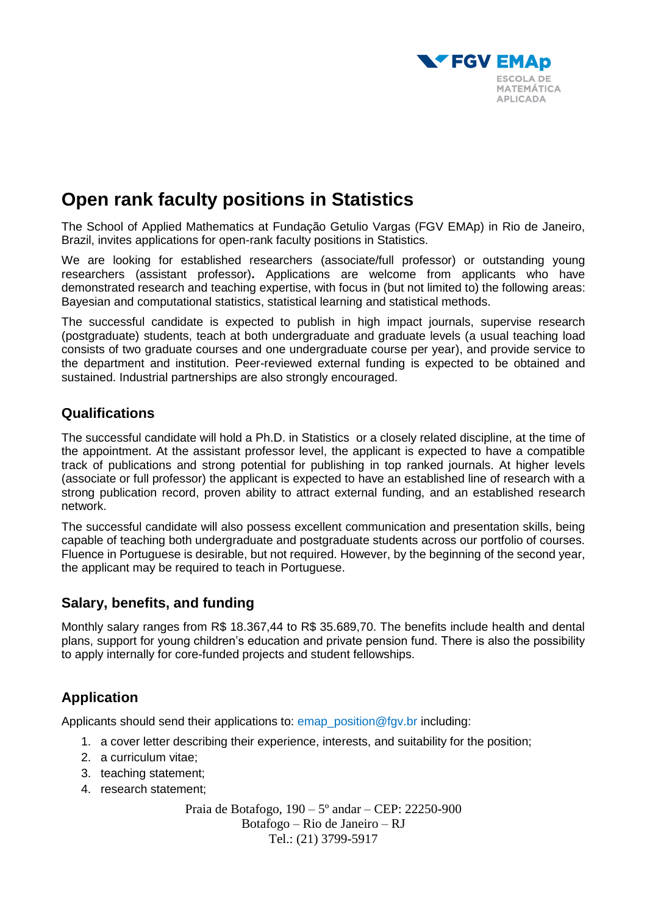

# **Open rank faculty positions in Statistics**

The School of Applied Mathematics at Fundação Getulio Vargas (FGV EMAp) in Rio de Janeiro, Brazil, invites applications for open-rank faculty positions in Statistics.

We are looking for established researchers (associate/full professor) or outstanding young researchers (assistant professor)**.** Applications are welcome from applicants who have demonstrated research and teaching expertise, with focus in (but not limited to) the following areas: Bayesian and computational statistics, statistical learning and statistical methods.

The successful candidate is expected to publish in high impact journals, supervise research (postgraduate) students, teach at both undergraduate and graduate levels (a usual teaching load consists of two graduate courses and one undergraduate course per year), and provide service to the department and institution. Peer-reviewed external funding is expected to be obtained and sustained. Industrial partnerships are also strongly encouraged.

# **Qualifications**

The successful candidate will hold a Ph.D. in Statistics or a closely related discipline, at the time of the appointment. At the assistant professor level, the applicant is expected to have a compatible track of publications and strong potential for publishing in top ranked journals. At higher levels (associate or full professor) the applicant is expected to have an established line of research with a strong publication record, proven ability to attract external funding, and an established research network.

The successful candidate will also possess excellent communication and presentation skills, being capable of teaching both undergraduate and postgraduate students across our portfolio of courses. Fluence in Portuguese is desirable, but not required. However, by the beginning of the second year, the applicant may be required to teach in Portuguese.

## **Salary, benefits, and funding**

Monthly salary ranges from R\$ 18.367,44 to R\$ 35.689,70. The benefits include health and dental plans, support for young children's education and private pension fund. There is also the possibility to apply internally for core-funded projects and student fellowships.

# **Application**

Applicants should send their applications to: emap position@fgv.br including:

- 1. a cover letter describing their experience, interests, and suitability for the position;
- 2. a curriculum vitae;
- 3. teaching statement;
- 4. research statement;

Praia de Botafogo, 190 – 5º andar – CEP: 22250-900 Botafogo – Rio de Janeiro – RJ Tel.: (21) 3799-5917